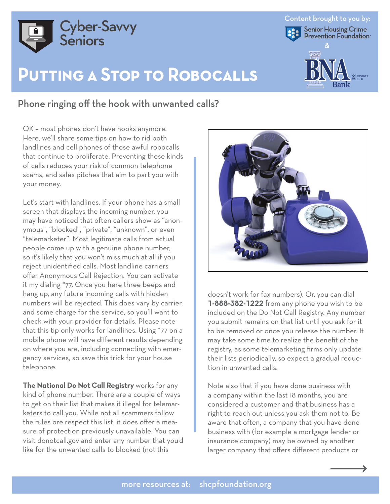

## **Putting a Stop to Robocalls**

## Phone ringing off the hook with unwanted calls?

OK – most phones don't have hooks anymore. Here, we'll share some tips on how to rid both landlines and cell phones of those awful robocalls that continue to proliferate. Preventing these kinds of calls reduces your risk of common telephone scams, and sales pitches that aim to part you with your money.

Let's start with landlines. If your phone has a small screen that displays the incoming number, you may have noticed that often callers show as "anonymous", "blocked", "private", "unknown", or even "telemarketer". Most legitimate calls from actual people come up with a genuine phone number, so it's likely that you won't miss much at all if you reject unidentified calls. Most landline carriers offer Anonymous Call Rejection. You can activate it my dialing \*77. Once you here three beeps and hang up, any future incoming calls with hidden numbers will be rejected. This does vary by carrier, and some charge for the service, so you'll want to check with your provider for details. Please note that this tip only works for landlines. Using \*77 on a mobile phone will have different results depending on where you are, including connecting with emergency services, so save this trick for your house telephone.

**The National Do Not Call Registry** works for any kind of phone number. There are a couple of ways to get on their list that makes it illegal for telemarketers to call you. While not all scammers follow the rules ore respect this list, it does offer a measure of protection previously unavailable. You can visit donotcall.gov and enter any number that you'd like for the unwanted calls to blocked (not this



Content brought to you by:

Senior Housing Crime<br>Prevention Foundation

&

B **A** ank

**BN**

doesn't work for fax numbers). Or, you can dial **1-888-382-1222** from any phone you wish to be included on the Do Not Call Registry. Any number you submit remains on that list until you ask for it to be removed or once you release the number. It may take some time to realize the benefit of the registry, as some telemarketing firms only update their lists periodically, so expect a gradual reduction in unwanted calls.

Note also that if you have done business with a company within the last 18 months, you are considered a customer and that business has a right to reach out unless you ask them not to. Be aware that often, a company that you have done business with (for example a mortgage lender or insurance company) may be owned by another larger company that offers different products or